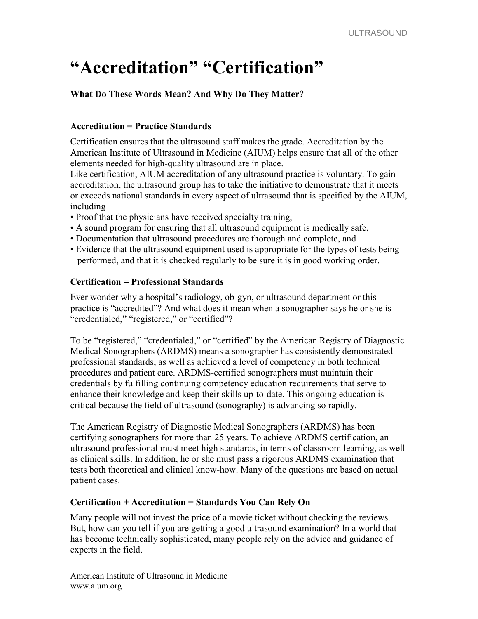## "Accreditation" "Certification"

What Do These Words Mean? And Why Do They Matter?

## Accreditation = Practice Standards

Certification ensures that the ultrasound staff makes the grade. Accreditation by the American Institute of Ultrasound in Medicine (AIUM) helps ensure that all of the other elements needed for high-quality ultrasound are in place.

Like certification, AIUM accreditation of any ultrasound practice is voluntary. To gain accreditation, the ultrasound group has to take the initiative to demonstrate that it meets or exceeds national standards in every aspect of ultrasound that is specified by the AIUM, including

- Proof that the physicians have received specialty training,
- A sound program for ensuring that all ultrasound equipment is medically safe,
- Documentation that ultrasound procedures are thorough and complete, and
- Evidence that the ultrasound equipment used is appropriate for the types of tests being performed, and that it is checked regularly to be sure it is in good working order.

## Certification = Professional Standards

Ever wonder why a hospital's radiology, ob-gyn, or ultrasound department or this practice is "accredited"? And what does it mean when a sonographer says he or she is "credentialed," "registered," or "certified"?

To be "registered," "credentialed," or "certified" by the American Registry of Diagnostic Medical Sonographers (ARDMS) means a sonographer has consistently demonstrated professional standards, as well as achieved a level of competency in both technical procedures and patient care. ARDMS-certified sonographers must maintain their credentials by fulfilling continuing competency education requirements that serve to enhance their knowledge and keep their skills up-to-date. This ongoing education is critical because the field of ultrasound (sonography) is advancing so rapidly.

The American Registry of Diagnostic Medical Sonographers (ARDMS) has been certifying sonographers for more than 25 years. To achieve ARDMS certification, an ultrasound professional must meet high standards, in terms of classroom learning, as well as clinical skills. In addition, he or she must pass a rigorous ARDMS examination that tests both theoretical and clinical know-how. Many of the questions are based on actual patient cases.

## Certification + Accreditation = Standards You Can Rely On

Many people will not invest the price of a movie ticket without checking the reviews. But, how can you tell if you are getting a good ultrasound examination? In a world that has become technically sophisticated, many people rely on the advice and guidance of experts in the field.

American Institute of Ultrasound in Medicine www.aium.org